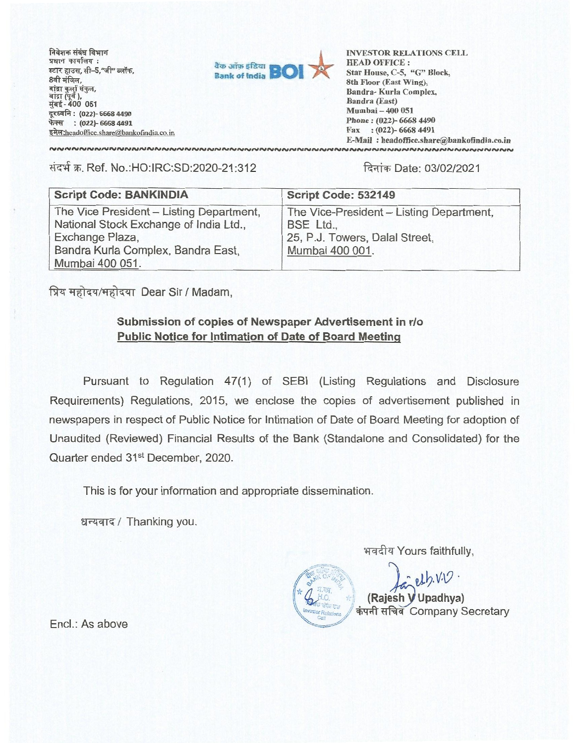निवेशक संबंध विभाग प्रधान कार्यालय: स्टार हाउस, सी-5,"जी" ब्लॉक, 8वी मंजिल. <u>बाद्रा</u> र मुंबई - 400 051 दूरध्वनि: (022)- 6668 4490 **फेक्स : (022)- 6668 4491** इमेल:headoffice.share@bankofindia.co.in



**INVESTOR RELATIONS CELL HEAD OFFICE : Star House, C-5, "G" Block, 8th Floor (East Wing), Bandra- Kurla Complex, Bandra (East) Mumbai — 400 051 Phone : (022)- 6668 4490 Fax : (022)- 6668 4491 E-Mail : headoffice.sharebankofindia.co.in** 

संदर्भ क्र. Ref. No.:HO:IRC:SD:2020-21:312 **दिनांक Date: 03/02/2021** 

| <b>Script Code: BANKINDIA</b>                                                                                                                                  | Script Code: 532149                                                                                        |
|----------------------------------------------------------------------------------------------------------------------------------------------------------------|------------------------------------------------------------------------------------------------------------|
| The Vice President - Listing Department,<br>National Stock Exchange of India Ltd.,<br>Exchange Plaza,<br>Bandra Kurla Complex, Bandra East,<br>Mumbai 400 051. | The Vice-President - Listing Department,<br>BSE Ltd.,<br>25, P.J. Towers, Dalal Street,<br>Mumbai 400 001. |

प्रिय महोदय/महोदया Dear Sir / Madam,

## **Submission of copies of Newspaper Advertisement in rio Public Notice for Intimation of Date of Board Meeting**

**Pursuant to Regulation 47(1) of SEBI (Listing Regulations and Disclosure Requirements) Regulations, 2015, we enclose the copies of advertisement published in newspapers in respect of Public Notice for Intimation of Date of Board Meeting for adoption of Unaudited (Reviewed) Financial Results of the Bank (Standalone and Consolidated) for the Quarter ended 31st December, 2020.** 

**This is for your information and appropriate dissemination.** 

**/ Thanking you.** 

भवदीय Yours faithfully,

**ti/2•09• (Rajesh Upadhya) कंपनी सचिव Company Secretary** 

**End.: As above**